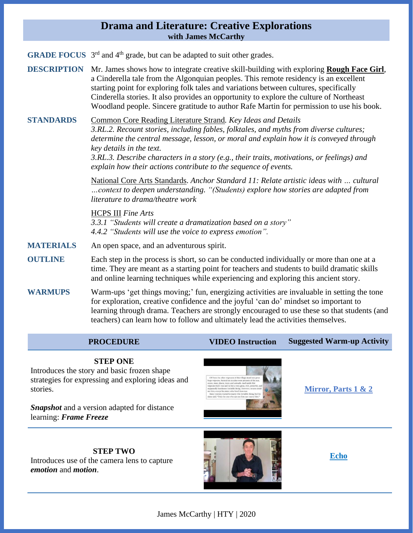## **Drama and Literature: Creative Explorations with James McCarthy**

**GRADE FOCUS** 3<sup>rd</sup> and 4<sup>th</sup> grade, but can be adapted to suit other grades.

**DESCRIPTION** Mr. James shows how to integrate creative skill-building with exploring **Rough Face Girl**, a Cinderella tale from the Algonquian peoples. This remote residency is an excellent starting point for exploring folk tales and variations between cultures, specifically Cinderella stories. It also provides an opportunity to explore the culture of Northeast Woodland people. Sincere gratitude to author Rafe Martin for permission to use his book.

**STANDARDS** Common Core Reading Literature Strand*. Key Ideas and Details 3.RL.2. Recount stories, including fables, folktales, and myths from diverse cultures; determine the central message, lesson, or moral and explain how it is conveyed through key details in the text. 3.RL.3. Describe characters in a story (e.g., their traits, motivations, or feelings) and*

*explain how their actions contribute to the sequence of events.*

National Core Arts Standards. *Anchor Standard 11: Relate artistic ideas with … cultural …context to deepen understanding. "(Students) explore how stories are adapted from literature to drama/theatre work*

HCPS III *Fine Arts 3.3.1 "Students will create a dramatization based on a story" 4.4.2 "Students will use the voice to express emotion".*

- **MATERIALS** An open space, and an adventurous spirit.
- **OUTLINE** Each step in the process is short, so can be conducted individually or more than one at a time. They are meant as a starting point for teachers and students to build dramatic skills and online learning techniques while experiencing and exploring this ancient story.
- **WARMUPS** Warm-ups 'get things moving;' fun, energizing activities are invaluable in setting the tone for exploration, creative confidence and the joyful 'can do' mindset so important to learning through drama. Teachers are strongly encouraged to use these so that students (and teachers) can learn how to follow and ultimately lead the activities themselves.

#### **PROCEDURE VIDEO Instruction Suggested Warm-up Activity**

#### **STEP ONE**

Introduces the story and basic frozen shape strategies for expressing and exploring ideas and stories.

*Snapshot* and a version adapted for distance learning: *Frame Freeze*



**[Mirror,](https://www.youtube.com/watch?v=aOL8uEiiqP0&list=PLEXXIpXiO3mnkLCKZ6Q1v0LhY-KHtkwpZ&index=2&t=43s) Parts 1 & 2**

**STEP TWO** Introduces use of the camera lens to capture *emotion* and *motion*.



**[Echo](https://www.youtube.com/watch?v=EYr--jHBrQk&list=PLEXXIpXiO3mnkLCKZ6Q1v0LhY-KHtkwpZ&index=3&t=73s)**

James McCarthy | HTY | 2020